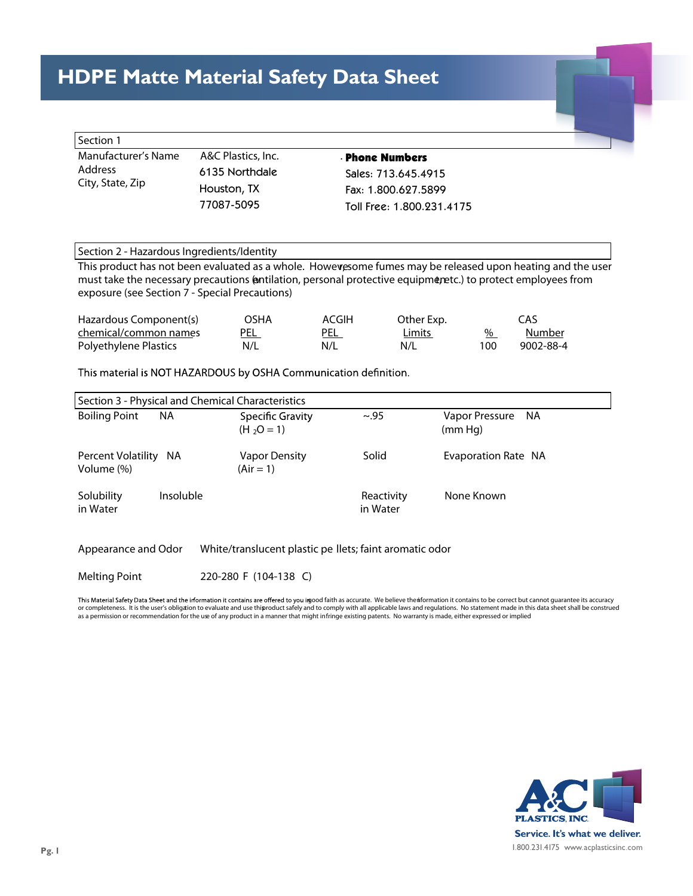## **HDPE Matte Material Safety Data Sheet**

Product Designation: Hitec HDPE (High Density Polyethylene)

| Section 1                                                 |                    |                           |  |
|-----------------------------------------------------------|--------------------|---------------------------|--|
| Manufacturer's Name<br><b>Address</b><br>City, State, Zip | A&C Plastics, Inc. | <b>Phone Numbers</b>      |  |
|                                                           | 6135 Northdale     | Sales: 713.645.4915       |  |
|                                                           | Houston, TX        | Fax: 1.800.627.5899       |  |
|                                                           | 77087-5095         | Toll Free: 1.800.231.4175 |  |

## Section 2 - Hazardous Ingredients/Identity

This product has not been evaluated as a whole. Howevesome fumes may be released upon heating and the user must take the necessary precautions (antilation, personal protective equipmenetc.) to protect employees from exposure (see Section 7 - Special Precautions)

| Hazardous Component(s) | OSHA | ACGIH | Other Exp. |     | CAS       |
|------------------------|------|-------|------------|-----|-----------|
| chemical/common names  | PEL  | PEL   | Limits     | %   | Number    |
| Polyethylene Plastics  | N/L  | N/L   | N/L        | 100 | 9002-88-4 |

This material is NOT HAZARDOUS by OSHA Communication definition.

| Section 3 - Physical and Chemical Characteristics |           |                                  |                        |                                   |  |  |
|---------------------------------------------------|-----------|----------------------------------|------------------------|-----------------------------------|--|--|
| <b>Boiling Point</b>                              | NА        | Specific Gravity<br>$(H_2O = 1)$ | $\sim$ .95             | Vapor Pressure<br>- NA<br>(mm Hq) |  |  |
| Percent Volatility NA<br>Volume (%)               |           | Vapor Density<br>$(Air = 1)$     | Solid                  | Evaporation Rate NA               |  |  |
| Solubility<br>in Water                            | Insoluble |                                  | Reactivity<br>in Water | None Known                        |  |  |

Appearance and Odor **White/translucent plastic pe llets; faint aromatic odor**

Melting Point **220-280 F (104-138 C)**

This Material Safety Data Sheet and the information it contains are offered to you imood faith as accurate. We believe thenformation it contains to be correct but cannot guarantee its accuracy<br>or completeness. It is the us as a permission or recommendation for the use of any product in a manner that might infringe existing patents. No warranty is made, either expressed or implied



Material Safety Data Sheet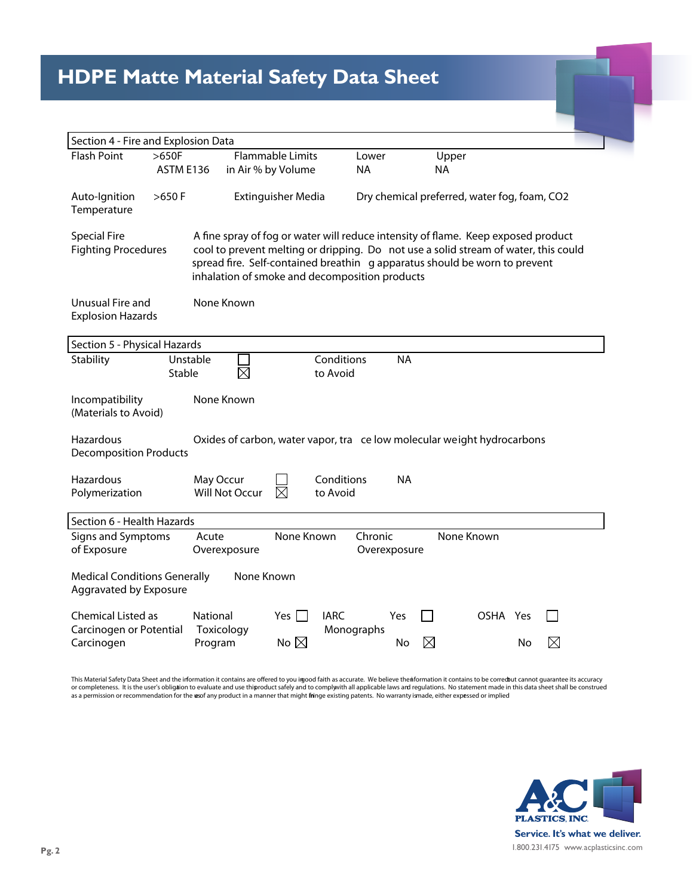## **HDPE Matte Material Safety Data Sheet**

| Section 4 - Fire and Explosion Data                                                                                   |                      |                                                  |                           |                                              |                                                                                                                                                                                                                                                        |  |
|-----------------------------------------------------------------------------------------------------------------------|----------------------|--------------------------------------------------|---------------------------|----------------------------------------------|--------------------------------------------------------------------------------------------------------------------------------------------------------------------------------------------------------------------------------------------------------|--|
| <b>Flash Point</b>                                                                                                    | $>650F$<br>ASTM E136 | <b>Flammable Limits</b><br>in Air % by Volume    | Lower<br><b>NA</b>        |                                              | Upper<br><b>NA</b>                                                                                                                                                                                                                                     |  |
| Auto-Ignition<br>Temperature                                                                                          | $>650$ F             | <b>Extinguisher Media</b>                        |                           | Dry chemical preferred, water fog, foam, CO2 |                                                                                                                                                                                                                                                        |  |
| <b>Special Fire</b><br><b>Fighting Procedures</b>                                                                     |                      | inhalation of smoke and decomposition products   |                           |                                              | A fine spray of fog or water will reduce intensity of flame. Keep exposed product<br>cool to prevent melting or dripping. Do not use a solid stream of water, this could<br>spread fire. Self-contained breathin g apparatus should be worn to prevent |  |
| Unusual Fire and<br><b>Explosion Hazards</b>                                                                          |                      | None Known                                       |                           |                                              |                                                                                                                                                                                                                                                        |  |
| Section 5 - Physical Hazards                                                                                          |                      |                                                  |                           |                                              |                                                                                                                                                                                                                                                        |  |
| Stability                                                                                                             | Unstable<br>Stable   |                                                  | Conditions<br>to Avoid    | <b>NA</b>                                    |                                                                                                                                                                                                                                                        |  |
| None Known<br>Incompatibility<br>(Materials to Avoid)                                                                 |                      |                                                  |                           |                                              |                                                                                                                                                                                                                                                        |  |
| Hazardous<br>Oxides of carbon, water vapor, tra ce low molecular weight hydrocarbons<br><b>Decomposition Products</b> |                      |                                                  |                           |                                              |                                                                                                                                                                                                                                                        |  |
| Hazardous<br>Polymerization                                                                                           |                      | May Occur<br><b>Will Not Occur</b><br>$\times$   | Conditions<br>to Avoid    | <b>NA</b>                                    |                                                                                                                                                                                                                                                        |  |
| Section 6 - Health Hazards                                                                                            |                      |                                                  |                           |                                              |                                                                                                                                                                                                                                                        |  |
| Signs and Symptoms<br>of Exposure                                                                                     | Acute                | None Known<br>Overexposure                       |                           | Chronic<br>Overexposure                      | None Known                                                                                                                                                                                                                                             |  |
| <b>Medical Conditions Generally</b><br>None Known<br>Aggravated by Exposure                                           |                      |                                                  |                           |                                              |                                                                                                                                                                                                                                                        |  |
| Chemical Listed as<br>Carcinogen or Potential<br>Carcinogen                                                           | National             | Yes  <br>Toxicology<br>No $\boxtimes$<br>Program | <b>IARC</b><br>Monographs | Yes<br>No                                    | OSHA Yes<br>X<br>No                                                                                                                                                                                                                                    |  |

This Material Safety Data Sheet and the information it contains are offered to you imood faith as accurate. We believe the information it contains to be corredbut cannot guarantee its accuracy<br>or completeness. It is the us